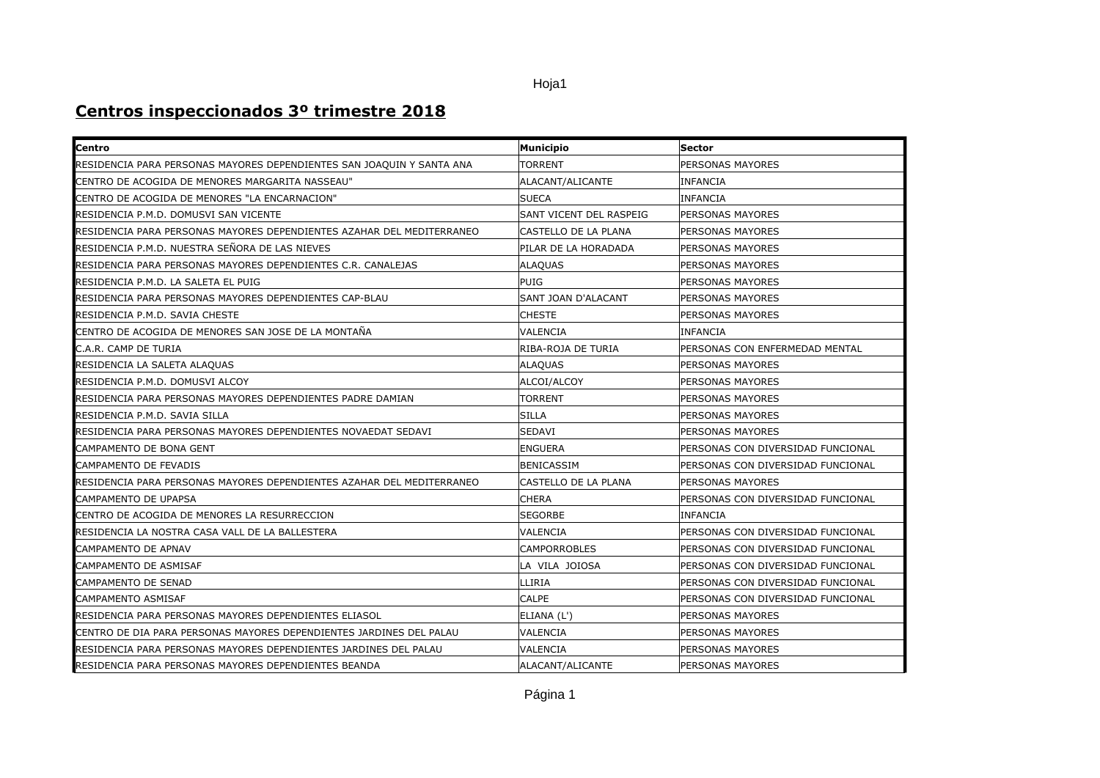## Hoja1

## **Centros inspeccionados 3º trimestre 2018**

| <b>Centro</b>                                                         | <b>Municipio</b>        | <b>Sector</b>                     |
|-----------------------------------------------------------------------|-------------------------|-----------------------------------|
| RESIDENCIA PARA PERSONAS MAYORES DEPENDIENTES SAN JOAQUIN Y SANTA ANA | <b>TORRENT</b>          | PERSONAS MAYORES                  |
| CENTRO DE ACOGIDA DE MENORES MARGARITA NASSEAU"                       | ALACANT/ALICANTE        | <b>INFANCIA</b>                   |
| CENTRO DE ACOGIDA DE MENORES "LA ENCARNACION"                         | <b>SUECA</b>            | INFANCIA                          |
| RESIDENCIA P.M.D. DOMUSVI SAN VICENTE                                 | SANT VICENT DEL RASPEIG | PERSONAS MAYORES                  |
| RESIDENCIA PARA PERSONAS MAYORES DEPENDIENTES AZAHAR DEL MEDITERRANEO | CASTELLO DE LA PLANA    | PERSONAS MAYORES                  |
| RESIDENCIA P.M.D. NUESTRA SEÑORA DE LAS NIEVES                        | PILAR DE LA HORADADA    | PERSONAS MAYORES                  |
| RESIDENCIA PARA PERSONAS MAYORES DEPENDIENTES C.R. CANALEJAS          | <b>ALAQUAS</b>          | PERSONAS MAYORES                  |
| RESIDENCIA P.M.D. LA SALETA EL PUIG                                   | <b>PUIG</b>             | PERSONAS MAYORES                  |
| RESIDENCIA PARA PERSONAS MAYORES DEPENDIENTES CAP-BLAU                | SANT JOAN D'ALACANT     | PERSONAS MAYORES                  |
| RESIDENCIA P.M.D. SAVIA CHESTE                                        | <b>CHESTE</b>           | PERSONAS MAYORES                  |
| CENTRO DE ACOGIDA DE MENORES SAN JOSE DE LA MONTAÑA                   | VALENCIA                | <b>INFANCIA</b>                   |
| C.A.R. CAMP DE TURIA                                                  | RIBA-ROJA DE TURIA      | PERSONAS CON ENFERMEDAD MENTAL    |
| RESIDENCIA LA SALETA ALAQUAS                                          | <b>ALAQUAS</b>          | PERSONAS MAYORES                  |
| RESIDENCIA P.M.D. DOMUSVI ALCOY                                       | ALCOI/ALCOY             | PERSONAS MAYORES                  |
| RESIDENCIA PARA PERSONAS MAYORES DEPENDIENTES PADRE DAMIAN            | <b>TORRENT</b>          | PERSONAS MAYORES                  |
| RESIDENCIA P.M.D. SAVIA SILLA                                         | <b>SILLA</b>            | PERSONAS MAYORES                  |
| RESIDENCIA PARA PERSONAS MAYORES DEPENDIENTES NOVAEDAT SEDAVI         | SEDAVI                  | PERSONAS MAYORES                  |
| CAMPAMENTO DE BONA GENT                                               | <b>ENGUERA</b>          | PERSONAS CON DIVERSIDAD FUNCIONAL |
| CAMPAMENTO DE FEVADIS                                                 | <b>BENICASSIM</b>       | PERSONAS CON DIVERSIDAD FUNCIONAL |
| RESIDENCIA PARA PERSONAS MAYORES DEPENDIENTES AZAHAR DEL MEDITERRANEO | CASTELLO DE LA PLANA    | PERSONAS MAYORES                  |
| <b>CAMPAMENTO DE UPAPSA</b>                                           | <b>CHERA</b>            | PERSONAS CON DIVERSIDAD FUNCIONAL |
| CENTRO DE ACOGIDA DE MENORES LA RESURRECCION                          | <b>SEGORBE</b>          | <b>INFANCIA</b>                   |
| RESIDENCIA LA NOSTRA CASA VALL DE LA BALLESTERA                       | VALENCIA                | PERSONAS CON DIVERSIDAD FUNCIONAL |
| <b>CAMPAMENTO DE APNAV</b>                                            | <b>CAMPORROBLES</b>     | PERSONAS CON DIVERSIDAD FUNCIONAL |
| CAMPAMENTO DE ASMISAF                                                 | LA VILA JOIOSA          | PERSONAS CON DIVERSIDAD FUNCIONAL |
| <b>CAMPAMENTO DE SENAD</b>                                            | LLIRIA                  | PERSONAS CON DIVERSIDAD FUNCIONAL |
| CAMPAMENTO ASMISAF                                                    | CALPE                   | PERSONAS CON DIVERSIDAD FUNCIONAL |
| RESIDENCIA PARA PERSONAS MAYORES DEPENDIENTES ELIASOL                 | ELIANA (L')             | PERSONAS MAYORES                  |
| CENTRO DE DIA PARA PERSONAS MAYORES DEPENDIENTES JARDINES DEL PALAU   | VALENCIA                | PERSONAS MAYORES                  |
| RESIDENCIA PARA PERSONAS MAYORES DEPENDIENTES JARDINES DEL PALAU      | VALENCIA                | PERSONAS MAYORES                  |
| RESIDENCIA PARA PERSONAS MAYORES DEPENDIENTES BEANDA                  | ALACANT/ALICANTE        | PERSONAS MAYORES                  |